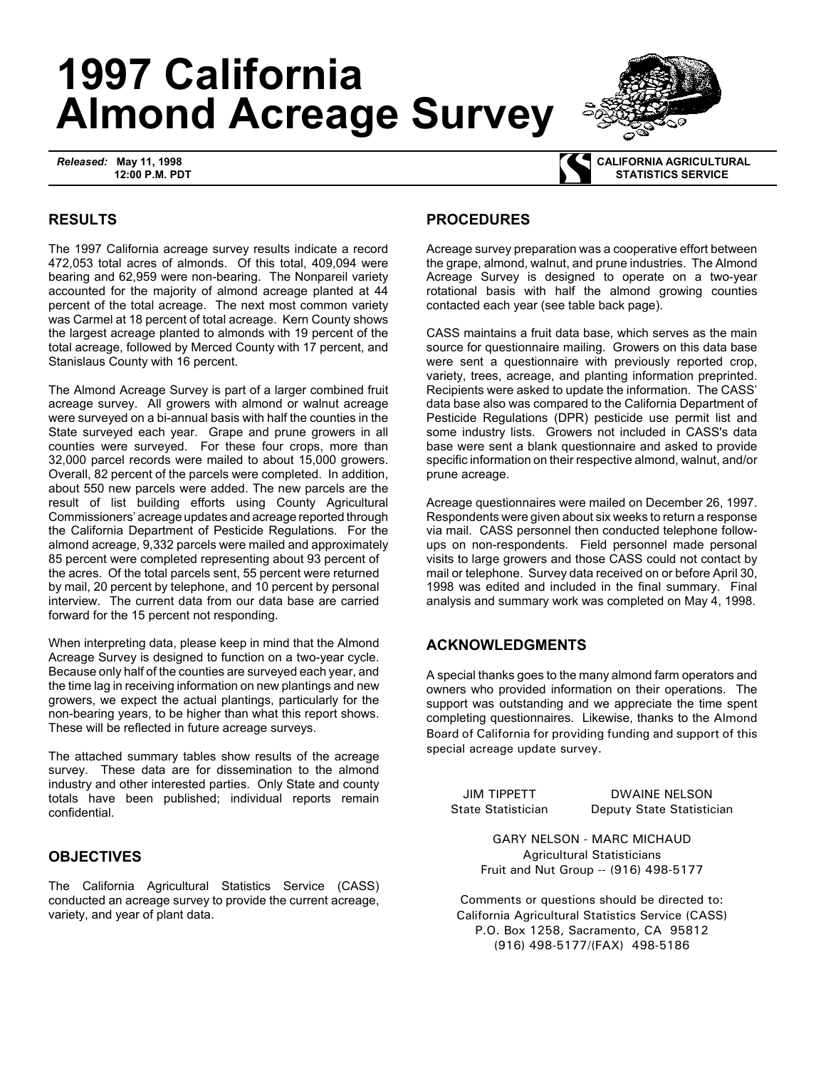# **1997 California Almond Acreage Survey**

*Released:* **May 11, 1998 12:00 P.M. PDT**



 **CALIFORNIA AGRICULTURAL STATISTICS SERVICE**

## **RESULTS**

The 1997 California acreage survey results indicate a record 472,053 total acres of almonds. Of this total, 409,094 were bearing and 62,959 were non-bearing. The Nonpareil variety accounted for the majority of almond acreage planted at 44 percent of the total acreage. The next most common variety was Carmel at 18 percent of total acreage. Kern County shows the largest acreage planted to almonds with 19 percent of the total acreage, followed by Merced County with 17 percent, and Stanislaus County with 16 percent.

The Almond Acreage Survey is part of a larger combined fruit acreage survey. All growers with almond or walnut acreage were surveyed on a bi-annual basis with half the counties in the State surveyed each year. Grape and prune growers in all counties were surveyed. For these four crops, more than 32,000 parcel records were mailed to about 15,000 growers. Overall, 82 percent of the parcels were completed. In addition, about 550 new parcels were added. The new parcels are the result of list building efforts using County Agricultural Commissioners' acreage updates and acreage reported through the California Department of Pesticide Regulations. For the almond acreage, 9,332 parcels were mailed and approximately 85 percent were completed representing about 93 percent of the acres. Of the total parcels sent, 55 percent were returned by mail, 20 percent by telephone, and 10 percent by personal interview. The current data from our data base are carried forward for the 15 percent not responding.

When interpreting data, please keep in mind that the Almond Acreage Survey is designed to function on a two-year cycle. Because only half of the counties are surveyed each year, and the time lag in receiving information on new plantings and new growers, we expect the actual plantings, particularly for the non-bearing years, to be higher than what this report shows. These will be reflected in future acreage surveys.

The attached summary tables show results of the acreage survey. These data are for dissemination to the almond industry and other interested parties. Only State and county totals have been published; individual reports remain confidential.

### **OBJECTIVES**

The California Agricultural Statistics Service (CASS) conducted an acreage survey to provide the current acreage, variety, and year of plant data.

### **PROCEDURES**

Acreage survey preparation was a cooperative effort between the grape, almond, walnut, and prune industries. The Almond Acreage Survey is designed to operate on a two-year rotational basis with half the almond growing counties contacted each year (see table back page).

CASS maintains a fruit data base, which serves as the main source for questionnaire mailing. Growers on this data base were sent a questionnaire with previously reported crop, variety, trees, acreage, and planting information preprinted. Recipients were asked to update the information. The CASS' data base also was compared to the California Department of Pesticide Regulations (DPR) pesticide use permit list and some industry lists. Growers not included in CASS's data base were sent a blank questionnaire and asked to provide specific information on their respective almond, walnut, and/or prune acreage.

Acreage questionnaires were mailed on December 26, 1997. Respondents were given about six weeks to return a response via mail. CASS personnel then conducted telephone followups on non-respondents. Field personnel made personal visits to large growers and those CASS could not contact by mail or telephone. Survey data received on or before April 30, 1998 was edited and included in the final summary. Final analysis and summary work was completed on May 4, 1998.

### **ACKNOWLEDGMENTS**

A special thanks goes to the many almond farm operators and owners who provided information on their operations. The support was outstanding and we appreciate the time spent completing questionnaires. Likewise, thanks to the Almond Board of California for providing funding and support of this special acreage update survey.

JIM TIPPETT DWAINE NELSON State Statistician Deputy State Statistician

> GARY NELSON - MARC MICHAUD Agricultural Statisticians Fruit and Nut Group -- (916) 498-5177

Comments or questions should be directed to: California Agricultural Statistics Service (CASS) P.O. Box 1258, Sacramento, CA 95812 (916) 498-5177/(FAX) 498-5186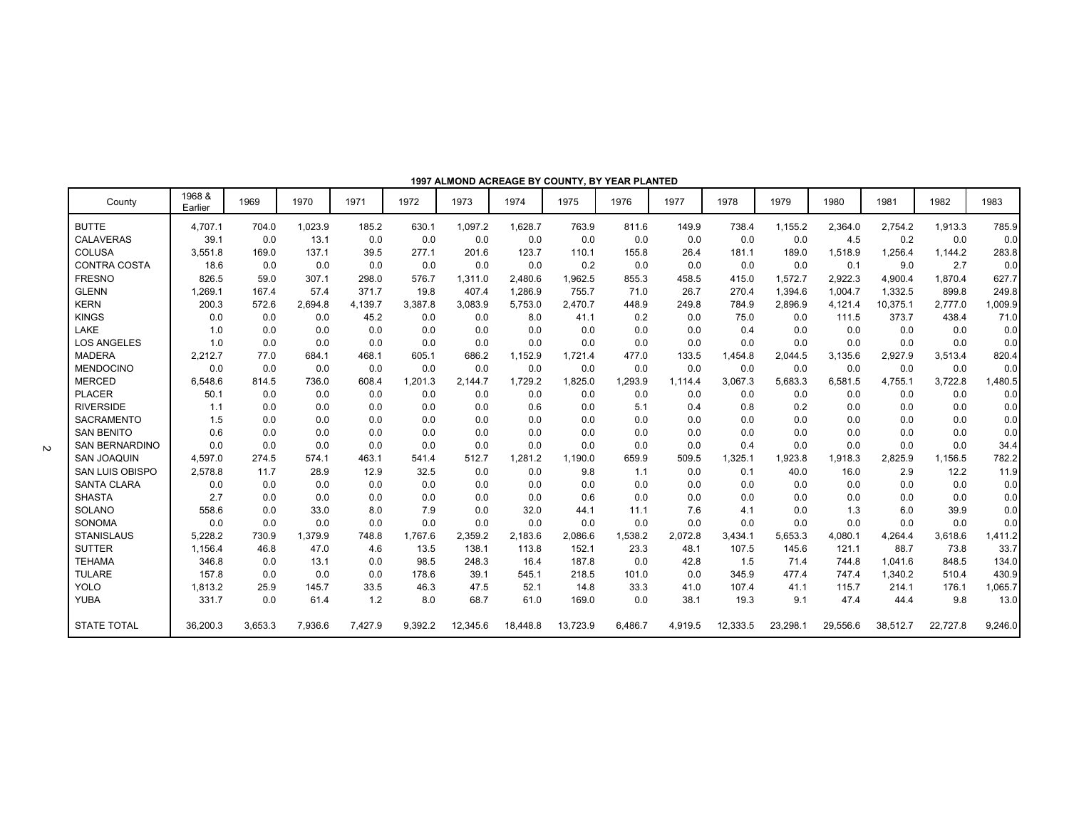|                        |                   |         |         |         |         |          |          |          | 1997 ALIWOND ACKEAGE BT COUNTT, BT TEAK FLANTED |         |          |          |          |          |          |         |
|------------------------|-------------------|---------|---------|---------|---------|----------|----------|----------|-------------------------------------------------|---------|----------|----------|----------|----------|----------|---------|
| County                 | 1968 &<br>Earlier | 1969    | 1970    | 1971    | 1972    | 1973     | 1974     | 1975     | 1976                                            | 1977    | 1978     | 1979     | 1980     | 1981     | 1982     | 1983    |
| <b>BUTTE</b>           | 4,707.1           | 704.0   | 1,023.9 | 185.2   | 630.1   | 1,097.2  | 1,628.7  | 763.9    | 811.6                                           | 149.9   | 738.4    | 1,155.2  | 2,364.0  | 2,754.2  | 1,913.3  | 785.9   |
| <b>CALAVERAS</b>       | 39.1              | 0.0     | 13.1    | 0.0     | 0.0     | 0.0      | 0.0      | 0.0      | 0.0                                             | 0.0     | 0.0      | 0.0      | 4.5      | 0.2      | 0.0      | 0.0     |
| <b>COLUSA</b>          | 3,551.8           | 169.0   | 137.1   | 39.5    | 277.1   | 201.6    | 123.7    | 110.1    | 155.8                                           | 26.4    | 181.1    | 189.0    | 1,518.9  | 1,256.4  | 1.144.2  | 283.8   |
| <b>CONTRA COSTA</b>    | 18.6              | 0.0     | 0.0     | 0.0     | 0.0     | 0.0      | 0.0      | 0.2      | 0.0                                             | 0.0     | 0.0      | 0.0      | 0.1      | 9.0      | 2.7      | 0.0     |
| <b>FRESNO</b>          | 826.5             | 59.0    | 307.1   | 298.0   | 576.7   | 1,311.0  | 2.480.6  | 1,962.5  | 855.3                                           | 458.5   | 415.0    | 1,572.7  | 2,922.3  | 4,900.4  | 1,870.4  | 627.7   |
| <b>GLENN</b>           | 1,269.1           | 167.4   | 57.4    | 371.7   | 19.8    | 407.4    | 1,286.9  | 755.7    | 71.0                                            | 26.7    | 270.4    | 1,394.6  | 1,004.7  | 1,332.5  | 899.8    | 249.8   |
| <b>KERN</b>            | 200.3             | 572.6   | 2,694.8 | 4,139.7 | 3,387.8 | 3,083.9  | 5,753.0  | 2,470.7  | 448.9                                           | 249.8   | 784.9    | 2,896.9  | 4,121.4  | 10,375.1 | 2,777.0  | 1,009.9 |
| <b>KINGS</b>           | 0.0               | 0.0     | 0.0     | 45.2    | 0.0     | 0.0      | 8.0      | 41.1     | 0.2                                             | 0.0     | 75.0     | 0.0      | 111.5    | 373.7    | 438.4    | 71.0    |
| LAKE                   | 1.0               | 0.0     | 0.0     | 0.0     | 0.0     | 0.0      | 0.0      | 0.0      | 0.0                                             | 0.0     | 0.4      | 0.0      | 0.0      | 0.0      | 0.0      | 0.0     |
| <b>LOS ANGELES</b>     | 1.0               | 0.0     | 0.0     | 0.0     | 0.0     | 0.0      | 0.0      | 0.0      | 0.0                                             | 0.0     | 0.0      | 0.0      | 0.0      | 0.0      | 0.0      | 0.0     |
| <b>MADERA</b>          | 2,212.7           | 77.0    | 684.1   | 468.1   | 605.1   | 686.2    | 1,152.9  | 1,721.4  | 477.0                                           | 133.5   | 1,454.8  | 2,044.5  | 3,135.6  | 2,927.9  | 3,513.4  | 820.4   |
| <b>MENDOCINO</b>       | 0.0               | 0.0     | 0.0     | 0.0     | 0.0     | 0.0      | 0.0      | 0.0      | 0.0                                             | 0.0     | 0.0      | 0.0      | 0.0      | 0.0      | 0.0      | 0.0     |
| <b>MERCED</b>          | 6,548.6           | 814.5   | 736.0   | 608.4   | 1,201.3 | 2,144.7  | 1,729.2  | 1,825.0  | 1,293.9                                         | 1,114.4 | 3,067.3  | 5,683.3  | 6,581.5  | 4,755.1  | 3,722.8  | 1,480.5 |
| <b>PLACER</b>          | 50.1              | 0.0     | 0.0     | 0.0     | 0.0     | 0.0      | 0.0      | 0.0      | 0.0                                             | 0.0     | 0.0      | 0.0      | 0.0      | 0.0      | 0.0      | 0.0     |
| <b>RIVERSIDE</b>       | 1.1               | 0.0     | 0.0     | 0.0     | 0.0     | 0.0      | 0.6      | 0.0      | 5.1                                             | 0.4     | 0.8      | 0.2      | 0.0      | 0.0      | 0.0      | 0.0     |
| <b>SACRAMENTO</b>      | 1.5               | 0.0     | 0.0     | 0.0     | 0.0     | 0.0      | 0.0      | 0.0      | 0.0                                             | 0.0     | 0.0      | 0.0      | 0.0      | 0.0      | 0.0      | 0.0     |
| <b>SAN BENITO</b>      | 0.6               | 0.0     | 0.0     | 0.0     | 0.0     | 0.0      | 0.0      | 0.0      | 0.0                                             | 0.0     | 0.0      | 0.0      | 0.0      | 0.0      | 0.0      | 0.0     |
| <b>SAN BERNARDINO</b>  | 0.0               | 0.0     | 0.0     | 0.0     | 0.0     | 0.0      | 0.0      | 0.0      | 0.0                                             | 0.0     | 0.4      | 0.0      | 0.0      | 0.0      | 0.0      | 34.4    |
| <b>SAN JOAQUIN</b>     | 4,597.0           | 274.5   | 574.1   | 463.1   | 541.4   | 512.7    | 1,281.2  | 1,190.0  | 659.9                                           | 509.5   | 1,325.1  | 1,923.8  | 1,918.3  | 2,825.9  | 1,156.5  | 782.2   |
| <b>SAN LUIS OBISPO</b> | 2,578.8           | 11.7    | 28.9    | 12.9    | 32.5    | 0.0      | 0.0      | 9.8      | 1.1                                             | 0.0     | 0.1      | 40.0     | 16.0     | 2.9      | 12.2     | 11.9    |
| <b>SANTA CLARA</b>     | 0.0               | 0.0     | 0.0     | 0.0     | 0.0     | 0.0      | 0.0      | 0.0      | 0.0                                             | 0.0     | 0.0      | 0.0      | 0.0      | 0.0      | 0.0      | 0.0     |
| <b>SHASTA</b>          | 2.7               | 0.0     | 0.0     | 0.0     | 0.0     | 0.0      | 0.0      | 0.6      | 0.0                                             | 0.0     | 0.0      | 0.0      | 0.0      | 0.0      | 0.0      | 0.0     |
| <b>SOLANO</b>          | 558.6             | 0.0     | 33.0    | 8.0     | 7.9     | 0.0      | 32.0     | 44.1     | 11.1                                            | 7.6     | 4.1      | 0.0      | 1.3      | 6.0      | 39.9     | 0.0     |
| SONOMA                 | 0.0               | 0.0     | 0.0     | 0.0     | 0.0     | 0.0      | 0.0      | 0.0      | 0.0                                             | 0.0     | 0.0      | 0.0      | 0.0      | 0.0      | 0.0      | 0.0     |
| <b>STANISLAUS</b>      | 5.228.2           | 730.9   | 1.379.9 | 748.8   | 1.767.6 | 2,359.2  | 2,183.6  | 2,086.6  | 1.538.2                                         | 2.072.8 | 3,434.1  | 5,653.3  | 4,080.1  | 4,264.4  | 3,618.6  | 1,411.2 |
| <b>SUTTER</b>          | 1,156.4           | 46.8    | 47.0    | 4.6     | 13.5    | 138.1    | 113.8    | 152.1    | 23.3                                            | 48.1    | 107.5    | 145.6    | 121.1    | 88.7     | 73.8     | 33.7    |
| <b>TEHAMA</b>          | 346.8             | 0.0     | 13.1    | 0.0     | 98.5    | 248.3    | 16.4     | 187.8    | 0.0                                             | 42.8    | 1.5      | 71.4     | 744.8    | 1.041.6  | 848.5    | 134.0   |
| <b>TULARE</b>          | 157.8             | 0.0     | 0.0     | 0.0     | 178.6   | 39.1     | 545.1    | 218.5    | 101.0                                           | 0.0     | 345.9    | 477.4    | 747.4    | 1,340.2  | 510.4    | 430.9   |
| <b>YOLO</b>            | 1,813.2           | 25.9    | 145.7   | 33.5    | 46.3    | 47.5     | 52.1     | 14.8     | 33.3                                            | 41.0    | 107.4    | 41.1     | 115.7    | 214.1    | 176.1    | 1,065.7 |
| <b>YUBA</b>            | 331.7             | 0.0     | 61.4    | 1.2     | 8.0     | 68.7     | 61.0     | 169.0    | 0.0                                             | 38.1    | 19.3     | 9.1      | 47.4     | 44.4     | 9.8      | 13.0    |
| <b>STATE TOTAL</b>     | 36,200.3          | 3,653.3 | 7,936.6 | 7,427.9 | 9,392.2 | 12,345.6 | 18,448.8 | 13,723.9 | 6,486.7                                         | 4,919.5 | 12,333.5 | 23,298.1 | 29,556.6 | 38,512.7 | 22,727.8 | 9,246.0 |

**1997 ALMOND ACREAGE BY COUNTY, BY YEAR PLANTED**

 $\overline{c}$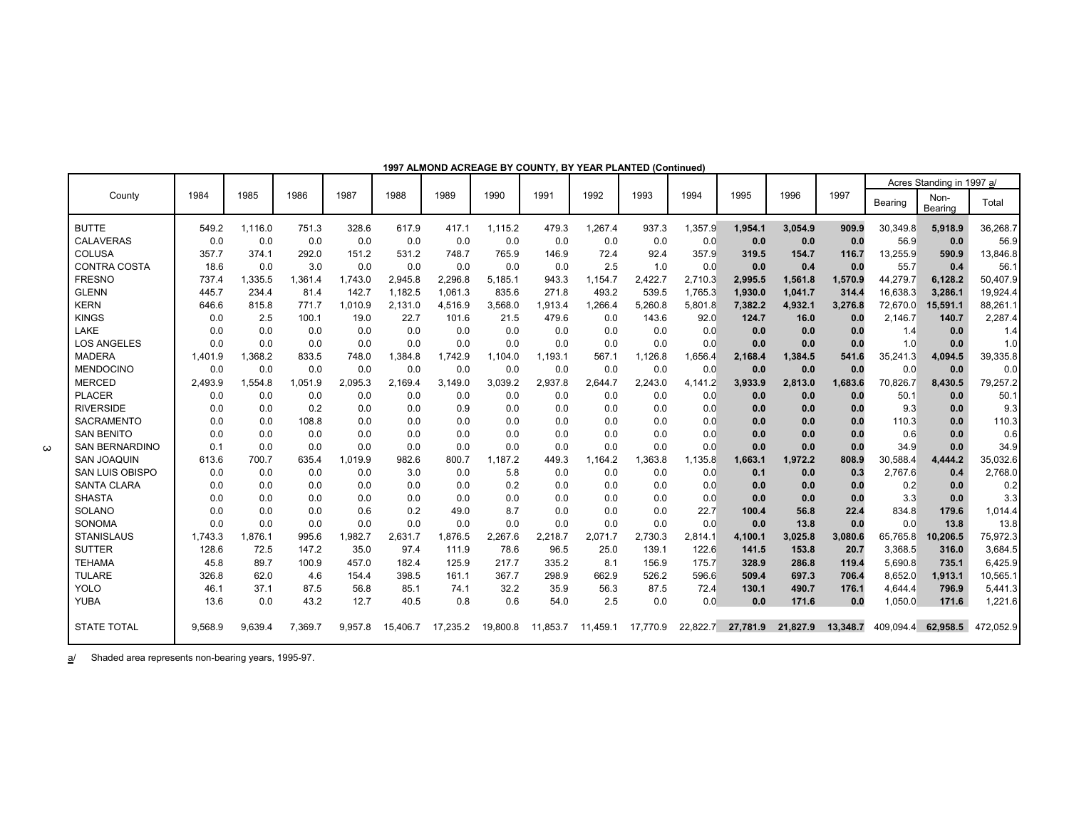|                        |         |         |         |         |          |          |          |          |          |          |          |          |          |          |           | Acres Standing in 1997 a/ |           |
|------------------------|---------|---------|---------|---------|----------|----------|----------|----------|----------|----------|----------|----------|----------|----------|-----------|---------------------------|-----------|
| County                 | 1984    | 1985    | 1986    | 1987    | 1988     | 1989     | 1990     | 1991     | 1992     | 1993     | 1994     | 1995     | 1996     | 1997     | Bearing   | Non-<br>Bearing           | Total     |
| <b>BUTTE</b>           | 549.2   | 1.116.0 | 751.3   | 328.6   | 617.9    | 417.1    | 1,115.2  | 479.3    | 1.267.4  | 937.3    | 1.357.9  | 1.954.1  | 3,054.9  | 909.9    | 30,349.8  | 5,918.9                   | 36,268.7  |
| <b>CALAVERAS</b>       | 0.0     | 0.0     | 0.0     | 0.0     | 0.0      | 0.0      | 0.0      | 0.0      | 0.0      | 0.0      | 0.0      | 0.0      | 0.0      | 0.0      | 56.9      | 0.0                       | 56.9      |
| <b>COLUSA</b>          | 357.7   | 374.1   | 292.0   | 151.2   | 531.2    | 748.7    | 765.9    | 146.9    | 72.4     | 92.4     | 357.9    | 319.5    | 154.7    | 116.7    | 13,255.9  | 590.9                     | 13,846.8  |
| <b>CONTRA COSTA</b>    | 18.6    | 0.0     | 3.0     | 0.0     | 0.0      | 0.0      | 0.0      | 0.0      | 2.5      | 1.0      | 0.0      | 0.0      | 0.4      | 0.0      | 55.7      | 0.4                       | 56.1      |
| <b>FRESNO</b>          | 737.4   | ,335.5  | 1,361.4 | 1,743.0 | 2,945.8  | 2,296.8  | 5,185.1  | 943.3    | 1,154.7  | 2,422.7  | 2,710.3  | 2,995.5  | 1,561.8  | 1,570.9  | 44,279.7  | 6,128.2                   | 50,407.9  |
| <b>GLENN</b>           | 445.7   | 234.4   | 81.4    | 142.7   | 1,182.5  | 1,061.3  | 835.6    | 271.8    | 493.2    | 539.5    | 1,765.3  | 1,930.0  | 1,041.7  | 314.4    | 16,638.3  | 3,286.1                   | 19,924.4  |
| <b>KERN</b>            | 646.6   | 815.8   | 771.7   | 1,010.9 | 2,131.0  | 4,516.9  | 3,568.0  | 1,913.4  | 1,266.4  | 5,260.8  | 5,801.8  | 7,382.2  | 4,932.1  | 3,276.8  | 72,670.0  | 15,591.1                  | 88,261.1  |
| <b>KINGS</b>           | 0.0     | 2.5     | 100.1   | 19.0    | 22.7     | 101.6    | 21.5     | 479.6    | 0.0      | 143.6    | 92.0     | 124.7    | 16.0     | 0.0      | 2,146.7   | 140.7                     | 2,287.4   |
| LAKE                   | 0.0     | 0.0     | 0.0     | 0.0     | 0.0      | 0.0      | 0.0      | 0.0      | 0.0      | 0.0      | 0.0      | 0.0      | 0.0      | 0.0      | 1.4       | 0.0                       | 1.4       |
| <b>LOS ANGELES</b>     | 0.0     | 0.0     | 0.0     | 0.0     | 0.0      | 0.0      | 0.0      | 0.0      | 0.0      | 0.0      | 0.0      | 0.0      | 0.0      | 0.0      | 1.0       | 0.0                       | 1.0       |
| <b>MADERA</b>          | 1,401.9 | 1,368.2 | 833.5   | 748.0   | 1,384.8  | 1,742.9  | 1,104.0  | 1,193.1  | 567.1    | 1,126.8  | 1,656.4  | 2,168.4  | 1,384.5  | 541.6    | 35,241.3  | 4,094.5                   | 39,335.8  |
| <b>MENDOCINO</b>       | 0.0     | 0.0     | 0.0     | 0.0     | 0.0      | 0.0      | 0.0      | 0.0      | 0.0      | 0.0      | 0.0      | 0.0      | 0.0      | 0.0      | 0.0       | 0.0                       | 0.0       |
| <b>MERCED</b>          | 2,493.9 | 1,554.8 | 1,051.9 | 2,095.3 | 2,169.4  | 3,149.0  | 3,039.2  | 2,937.8  | 2,644.7  | 2,243.0  | 4,141.2  | 3,933.9  | 2,813.0  | 1,683.6  | 70,826.7  | 8,430.5                   | 79,257.2  |
| <b>PLACER</b>          | 0.0     | 0.0     | 0.0     | 0.0     | 0.0      | 0.0      | 0.0      | 0.0      | 0.0      | 0.0      | 0.0      | 0.0      | 0.0      | 0.0      | 50.1      | 0.0                       | 50.1      |
| <b>RIVERSIDE</b>       | 0.0     | 0.0     | 0.2     | 0.0     | 0.0      | 0.9      | 0.0      | 0.0      | 0.0      | 0.0      | 0.0      | 0.0      | 0.0      | 0.0      | 9.3       | 0.0                       | 9.3       |
| <b>SACRAMENTO</b>      | 0.0     | 0.0     | 108.8   | 0.0     | 0.0      | 0.0      | 0.0      | 0.0      | 0.0      | 0.0      | 0.0      | 0.0      | 0.0      | 0.0      | 110.3     | 0.0                       | 110.3     |
| <b>SAN BENITO</b>      | 0.0     | 0.0     | 0.0     | 0.0     | 0.0      | 0.0      | 0.0      | 0.0      | 0.0      | 0.0      | 0.0      | 0.0      | 0.0      | 0.0      | 0.6       | 0.0                       | 0.6       |
| <b>SAN BERNARDINO</b>  | 0.1     | 0.0     | 0.0     | 0.0     | 0.0      | 0.0      | 0.0      | 0.0      | 0.0      | 0.0      | 0.0      | 0.0      | 0.0      | 0.0      | 34.9      | 0.0                       | 34.9      |
| <b>SAN JOAQUIN</b>     | 613.6   | 700.7   | 635.4   | 1.019.9 | 982.6    | 800.7    | 1.187.2  | 449.3    | 1.164.2  | 1,363.8  | 1.135.8  | 1.663.1  | 1.972.2  | 808.9    | 30,588.4  | 4,444.2                   | 35,032.6  |
| <b>SAN LUIS OBISPO</b> | 0.0     | 0.0     | 0.0     | 0.0     | 3.0      | 0.0      | 5.8      | 0.0      | 0.0      | 0.0      | 0.0      | 0.1      | 0.0      | 0.3      | 2,767.6   | 0.4                       | 2,768.0   |
| <b>SANTA CLARA</b>     | 0.0     | 0.0     | 0.0     | 0.0     | 0.0      | 0.0      | 0.2      | 0.0      | 0.0      | 0.0      | 0.0      | 0.0      | 0.0      | 0.0      | 0.2       | 0.0                       | 0.2       |
| <b>SHASTA</b>          | 0.0     | 0.0     | 0.0     | 0.0     | 0.0      | 0.0      | 0.0      | 0.0      | 0.0      | 0.0      | 0.0      | 0.0      | 0.0      | 0.0      | 3.3       | 0.0                       | 3.3       |
| <b>SOLANO</b>          | 0.0     | 0.0     | 0.0     | 0.6     | 0.2      | 49.0     | 8.7      | 0.0      | 0.0      | 0.0      | 22.7     | 100.4    | 56.8     | 22.4     | 834.8     | 179.6                     | 1,014.4   |
| <b>SONOMA</b>          | 0.0     | 0.0     | 0.0     | 0.0     | 0.0      | 0.0      | 0.0      | 0.0      | 0.0      | 0.0      | 0.0      | 0.0      | 13.8     | 0.0      | 0.0       | 13.8                      | 13.8      |
| <b>STANISLAUS</b>      | 1.743.3 | 1.876.1 | 995.6   | 1.982.7 | 2.631.7  | 1,876.5  | 2,267.6  | 2,218.7  | 2.071.7  | 2,730.3  | 2,814.1  | 4.100.1  | 3.025.8  | 3.080.6  | 65.765.8  | 10.206.5                  | 75,972.3  |
| <b>SUTTER</b>          | 128.6   | 72.5    | 147.2   | 35.0    | 97.4     | 111.9    | 78.6     | 96.5     | 25.0     | 139.1    | 122.6    | 141.5    | 153.8    | 20.7     | 3,368.5   | 316.0                     | 3,684.5   |
| <b>TEHAMA</b>          | 45.8    | 89.7    | 100.9   | 457.0   | 182.4    | 125.9    | 217.7    | 335.2    | 8.1      | 156.9    | 175.7    | 328.9    | 286.8    | 119.4    | 5,690.8   | 735.1                     | 6,425.9   |
| <b>TULARE</b>          | 326.8   | 62.0    | 4.6     | 154.4   | 398.5    | 161.1    | 367.7    | 298.9    | 662.9    | 526.2    | 596.6    | 509.4    | 697.3    | 706.4    | 8,652.0   | 1,913.1                   | 10,565.1  |
| <b>YOLO</b>            | 46.1    | 37.1    | 87.5    | 56.8    | 85.1     | 74.1     | 32.2     | 35.9     | 56.3     | 87.5     | 72.4     | 130.1    | 490.7    | 176.1    | 4,644.4   | 796.9                     | 5,441.3   |
| <b>YUBA</b>            | 13.6    | 0.0     | 43.2    | 12.7    | 40.5     | 0.8      | 0.6      | 54.0     | 2.5      | 0.0      | 0.0      | 0.0      | 171.6    | 0.0      | 1,050.0   | 171.6                     | 1,221.6   |
| <b>STATE TOTAL</b>     | 9,568.9 | 9,639.4 | 7,369.7 | 9,957.8 | 15.406.7 | 17,235.2 | 19,800.8 | 11.853.7 | 11.459.1 | 17.770.9 | 22,822.7 | 27,781.9 | 21,827.9 | 13.348.7 | 409.094.4 | 62.958.5                  | 472,052.9 |

**1997 ALMOND ACREAGE BY COUNTY, BY YEAR PLANTED (Continued)**

a/ Shaded area represents non-bearing years, 1995-97.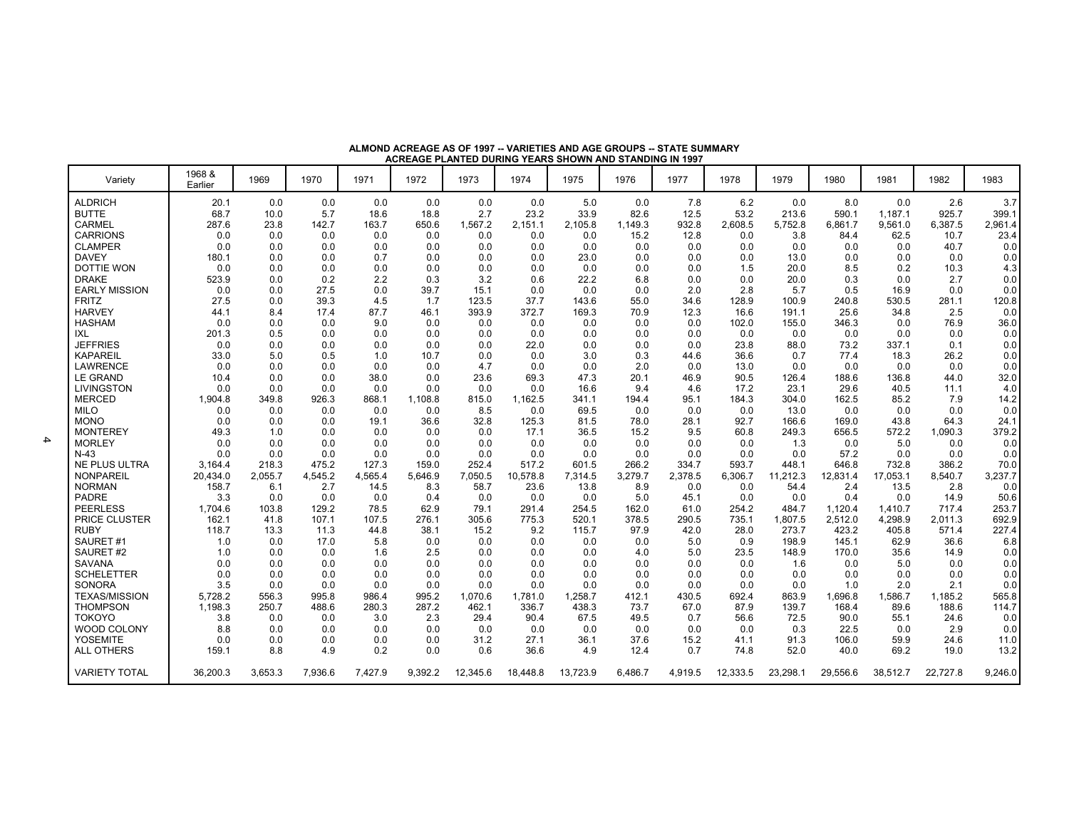| Variety                       | 1968 &<br>Earlier | 1969          | 1970           | 1971          | 1972          | 1973          | 1974           | 1975           | 1976           | 1977          | 1978           | 1979             | 1980               | 1981               | 1982             | 1983           |
|-------------------------------|-------------------|---------------|----------------|---------------|---------------|---------------|----------------|----------------|----------------|---------------|----------------|------------------|--------------------|--------------------|------------------|----------------|
| <b>ALDRICH</b>                | 20.1              | 0.0           | 0.0            | 0.0           | 0.0           | 0.0           | 0.0            | 5.0            | 0.0            | 7.8           | 6.2            | 0.0              | 8.0                | 0.0                | 2.6              | 3.7            |
| <b>BUTTE</b>                  | 68.7              | 10.0          | 5.7            | 18.6          | 18.8          | 2.7           | 23.2           | 33.9           | 82.6           | 12.5          | 53.2           | 213.6            | 590.1              | 1,187.1            | 925.7            | 399.1          |
| CARMEL                        | 287.6             | 23.8          | 142.7          | 163.7         | 650.6         | 1,567.2       | 2,151.1        | 2,105.8        | 1,149.3        | 932.8         | 2,608.5        | 5,752.8          | 6,861.7            | 9,561.0            | 6,387.5          | 2,961.4        |
| <b>CARRIONS</b>               | 0.0               | 0.0           | 0.0            | 0.0           | 0.0           | 0.0           | 0.0            | 0.0            | 15.2           | 12.8          | 0.0            | 3.8              | 84.4               | 62.5               | 10.7             | 23.4           |
| <b>CLAMPER</b>                | 0.0               | 0.0           | 0.0            | 0.0           | 0.0           | 0.0           | 0.0            | 0.0            | 0.0            | 0.0           | 0.0            | 0.0              | 0.0                | 0.0                | 40.7             | 0.0            |
| <b>DAVEY</b>                  | 180.1             | 0.0           | 0.0            | 0.7           | 0.0           | 0.0           | 0.0            | 23.0           | 0.0            | 0.0           | 0.0            | 13.0             | 0.0                | 0.0                | 0.0              | 0.0            |
| DOTTIE WON                    | 0.0               | 0.0           | 0.0            | 0.0           | 0.0           | 0.0           | 0.0            | 0.0            | 0.0            | 0.0           | 1.5            | 20.0             | 8.5                | 0.2                | 10.3             | 4.3            |
| <b>DRAKE</b>                  | 523.9             | 0.0           | 0.2            | 2.2           | 0.3           | 3.2           | 0.6            | 22.2           | 6.8            | 0.0           | 0.0            | 20.0             | 0.3                | 0.0                | 2.7              | 0.0            |
| <b>EARLY MISSION</b>          | 0.0               | 0.0           | 27.5           | 0.0           | 39.7          | 15.1          | 0.0            | 0.0            | 0.0            | 2.0           | 2.8            | 5.7              | 0.5                | 16.9               | 0.0              | 0.0            |
| <b>FRITZ</b>                  | 27.5              | 0.0           | 39.3           | 4.5           | 1.7           | 123.5         | 37.7           | 143.6          | 55.0           | 34.6          | 128.9          | 100.9            | 240.8              | 530.5              | 281.1            | 120.8          |
| <b>HARVEY</b>                 | 44.1              | 8.4           | 17.4           | 87.7          | 46.1          | 393.9         | 372.7          | 169.3          | 70.9           | 12.3          | 16.6           | 191.1            | 25.6               | 34.8               | 2.5              | 0.0            |
| <b>HASHAM</b>                 | 0.0               | 0.0           | 0.0            | 9.0           | 0.0           | 0.0           | 0.0            | 0.0            | 0.0            | 0.0           | 102.0          | 155.0            | 346.3              | 0.0                | 76.9             | 36.0           |
| IXL                           | 201.3             | 0.5           | 0.0            | 0.0           | 0.0           | 0.0           | 0.0            | 0.0            | 0.0            | 0.0           | 0.0            | 0.0              | 0.0                | 0.0                | 0.0              | 0.0            |
| <b>JEFFRIES</b>               | 0.0               | 0.0           | 0.0            | 0.0           | 0.0           | 0.0           | 22.0           | 0.0            | 0.0            | 0.0           | 23.8           | 88.0             | 73.2               | 337.1              | 0.1              | 0.0            |
| KAPAREIL                      | 33.0              | 5.0           | 0.5            | 1.0           | 10.7          | 0.0           | 0.0            | 3.0            | 0.3            | 44.6          | 36.6           | 0.7              | 77.4               | 18.3               | 26.2             | 0.0            |
| <b>LAWRENCE</b>               | 0.0               | 0.0           | 0.0            | 0.0           | 0.0           | 4.7           | 0.0            | 0.0            | 2.0            | 0.0           | 13.0           | 0.0              | 0.0                | 0.0                | 0.0              | 0.0            |
| <b>LE GRAND</b>               | 10.4              | 0.0           | 0.0            | 38.0          | 0.0           | 23.6          | 69.3           | 47.3           | 20.1           | 46.9          | 90.5           | 126.4            | 188.6              | 136.8              | 44.0             | 32.0           |
| <b>LIVINGSTON</b>             | 0.0               | 0.0           | 0.0            | 0.0           | 0.0           | 0.0           | 0.0            | 16.6           | 9.4            | 4.6           | 17.2           | 23.1             | 29.6               | 40.5               | 11.1             | 4.0            |
| <b>MERCED</b>                 | 1,904.8           | 349.8         | 926.3          | 868.1         | 1,108.8       | 815.0         | 1,162.5        | 341.1          | 194.4          | 95.1          | 184.3          | 304.0            | 162.5              | 85.2               | 7.9              | 14.2           |
| <b>MILO</b>                   | 0.0               | 0.0           | 0.0            | 0.0           | 0.0           | 8.5           | 0.0            | 69.5           | 0.0            | 0.0           | 0.0            | 13.0             | 0.0                | 0.0                | 0.0              | 0.0            |
| <b>MONO</b>                   | 0.0               | 0.0           | 0.0            | 19.1          | 36.6          | 32.8          | 125.3          | 81.5           | 78.0           | 28.1          | 92.7           | 166.6            | 169.0              | 43.8               | 64.3             | 24.1           |
| <b>MONTEREY</b>               | 49.3              | 1.0           | 0.0            | 0.0           | 0.0           | 0.0           | 17.1           | 36.5           | 15.2           | 9.5           | 60.8           | 249.3            | 656.5              | 572.2              | 1,090.3          | 379.2          |
| <b>MORLEY</b>                 | 0.0               | 0.0           | 0.0            | 0.0           | 0.0           | 0.0           | 0.0            | 0.0            | 0.0            | 0.0           | 0.0            | 1.3              | 0.0                | 5.0                | 0.0              | 0.0            |
| $N-43$                        | 0.0               | 0.0           | 0.0            | 0.0           | 0.0           | 0.0           | 0.0            | 0.0            | 0.0            | 0.0           | 0.0            | 0.0              | 57.2               | 0.0                | 0.0              | 0.0            |
| <b>NE PLUS ULTRA</b>          | 3.164.4           | 218.3         | 475.2          | 127.3         | 159.0         | 252.4         | 517.2          | 601.5          | 266.2          | 334.7         | 593.7          | 448.1            | 646.8              | 732.8              | 386.2            | 70.0           |
| <b>NONPAREIL</b>              | 20.434.0          | 2.055.7       | 4.545.2        | 4,565.4       | 5.646.9       | 7,050.5       | 10.578.8       | 7,314.5        | 3,279.7        | 2.378.5       | 6.306.7        | 11,212.3         | 12,831.4           | 17,053.1           | 8,540.7          | 3,237.7        |
| <b>NORMAN</b><br><b>PADRE</b> | 158.7             | 6.1           | 2.7<br>0.0     | 14.5          | 8.3           | 58.7          | 23.6           | 13.8           | 8.9            | 0.0           | 0.0            | 54.4             | 2.4                | 13.5               | 2.8              | 0.0<br>50.6    |
|                               | 3.3               | 0.0           |                | 0.0           | 0.4           | 0.0           | 0.0            | 0.0            | 5.0            | 45.1          | 0.0            | 0.0              | 0.4                | 0.0                | 14.9             |                |
| PEERLESS<br>PRICE CLUSTER     | 1.704.6<br>162.1  | 103.8<br>41.8 | 129.2<br>107.1 | 78.5<br>107.5 | 62.9<br>276.1 | 79.1<br>305.6 | 291.4<br>775.3 | 254.5<br>520.1 | 162.0<br>378.5 | 61.0<br>290.5 | 254.2<br>735.1 | 484.7<br>1,807.5 | 1.120.4<br>2,512.0 | 1.410.7<br>4,298.9 | 717.4<br>2.011.3 | 253.7<br>692.9 |
| <b>RUBY</b>                   | 118.7             | 13.3          | 11.3           | 44.8          | 38.1          | 15.2          | 9.2            | 115.7          | 97.9           | 42.0          | 28.0           | 273.7            | 423.2              | 405.8              | 571.4            | 227.4          |
| SAURET#1                      | 1.0               | 0.0           | 17.0           | 5.8           | 0.0           | 0.0           | 0.0            | 0.0            | 0.0            | 5.0           | 0.9            | 198.9            | 145.1              | 62.9               | 36.6             | 6.8            |
| SAURET#2                      | 1.0               | 0.0           | 0.0            | 1.6           | 2.5           | 0.0           | 0.0            | 0.0            | 4.0            | 5.0           | 23.5           | 148.9            | 170.0              | 35.6               | 14.9             | 0.0            |
| SAVANA                        | 0.0               | 0.0           | 0.0            | 0.0           | 0.0           | 0.0           | 0.0            | 0.0            | 0.0            | 0.0           | 0.0            | 1.6              | 0.0                | 5.0                | 0.0              | 0.0            |
| <b>SCHELETTER</b>             | 0.0               | 0.0           | 0.0            | 0.0           | 0.0           | 0.0           | 0.0            | 0.0            | 0.0            | 0.0           | 0.0            | 0.0              | 0.0                | 0.0                | 0.0              | 0.0            |
| SONORA                        | 3.5               | 0.0           | 0.0            | 0.0           | 0.0           | 0.0           | 0.0            | 0.0            | 0.0            | 0.0           | 0.0            | 0.0              | 1.0                | 2.0                | 2.1              | 0.0            |
| <b>TEXAS/MISSION</b>          | 5.728.2           | 556.3         | 995.8          | 986.4         | 995.2         | 1.070.6       | 1.781.0        | 1,258.7        | 412.1          | 430.5         | 692.4          | 863.9            | 1.696.8            | 1.586.7            | 1,185.2          | 565.8          |
| THOMPSON                      | 1.198.3           | 250.7         | 488.6          | 280.3         | 287.2         | 462.1         | 336.7          | 438.3          | 73.7           | 67.0          | 87.9           | 139.7            | 168.4              | 89.6               | 188.6            | 114.7          |
| TOKOYO                        | 3.8               | 0.0           | 0.0            | 3.0           | 2.3           | 29.4          | 90.4           | 67.5           | 49.5           | 0.7           | 56.6           | 72.5             | 90.0               | 55.1               | 24.6             | 0.0            |
| <b>WOOD COLONY</b>            | 8.8               | 0.0           | 0.0            | 0.0           | 0.0           | 0.0           | 0.0            | 0.0            | 0.0            | 0.0           | 0.0            | 0.3              | 22.5               | 0.0                | 2.9              | 0.0            |
| YOSEMITE                      | 0.0               | 0.0           | 0.0            | 0.0           | 0.0           | 31.2          | 27.1           | 36.1           | 37.6           | 15.2          | 41.1           | 91.3             | 106.0              | 59.9               | 24.6             | 11.0           |
| <b>ALL OTHERS</b>             | 159.1             | 8.8           | 4.9            | 0.2           | 0.0           | 0.6           | 36.6           | 4.9            | 12.4           | 0.7           | 74.8           | 52.0             | 40.0               | 69.2               | 19.0             | 13.2           |
| <b>VARIETY TOTAL</b>          | 36,200.3          | 3,653.3       | 7,936.6        | 7,427.9       | 9,392.2       | 12,345.6      | 18,448.8       | 13,723.9       | 6,486.7        | 4,919.5       | 12,333.5       | 23,298.1         | 29,556.6           | 38,512.7           | 22,727.8         | 9,246.0        |

**ALMOND ACREAGE AS OF 1997 -- VARIETIES AND AGE GROUPS -- STATE SUMMARYACREAGE PLANTED DURING YEARS SHOWN AND STANDING IN 1997**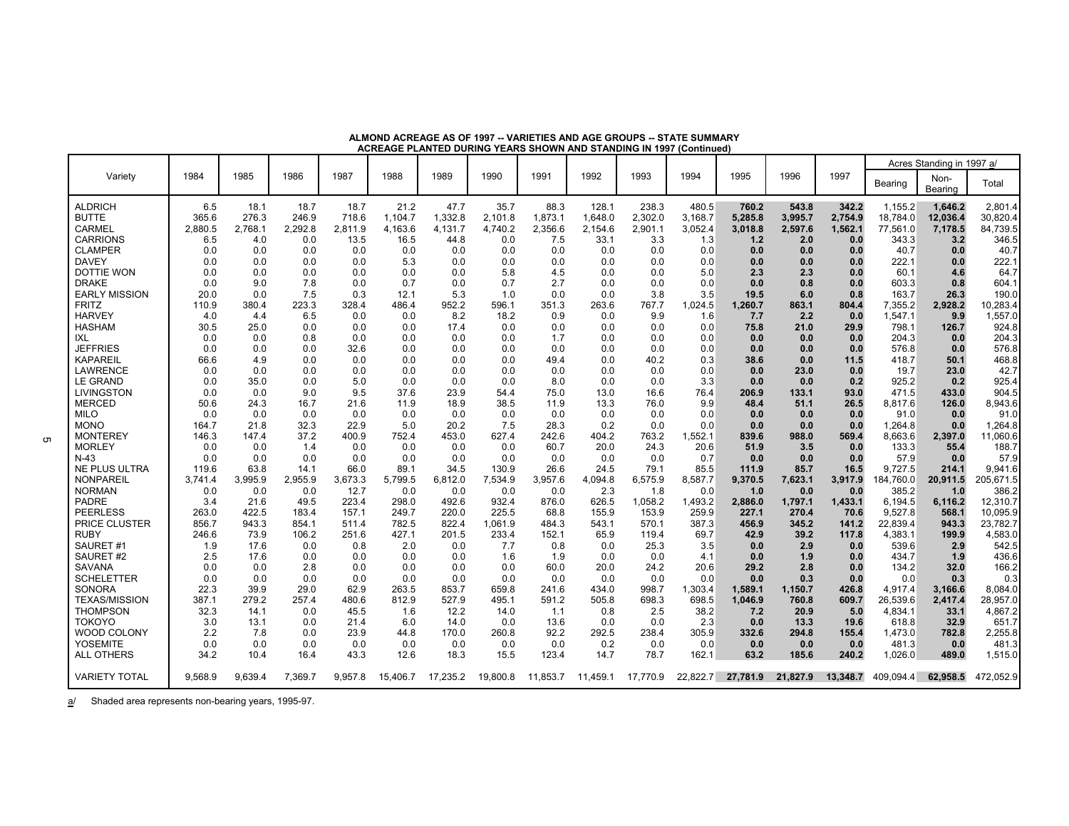|  |  | ALMOND ACREAGE AS OF 1997 -- VARIETIES AND AGE GROUPS -- STATE SUMMARY |  |  |
|--|--|------------------------------------------------------------------------|--|--|
|  |  | ACREAGE PLANTED DURING YEARS SHOWN AND STANDING IN 1997 (Continued)    |  |  |
|  |  |                                                                        |  |  |

|                                      |              |              |             |              |              |               |              |               |               |               |                 |               |               |              |                  | Acres Standing in 1997 a/ |                     |
|--------------------------------------|--------------|--------------|-------------|--------------|--------------|---------------|--------------|---------------|---------------|---------------|-----------------|---------------|---------------|--------------|------------------|---------------------------|---------------------|
| Variety                              | 1984         | 1985         | 1986        | 1987         | 1988         | 1989          | 1990         | 1991          | 1992          | 1993          | 1994            | 1995          | 1996          | 1997         | Bearing          | Non-<br>Bearing           | Total               |
| <b>ALDRICH</b>                       | 6.5          | 18.1         | 18.7        | 18.7         | 21.2         | 47.7          | 35.7         | 88.3          | 128.1         | 238.3         | 480.5           | 760.2         | 543.8         | 342.2        | 1,155.2          | 1.646.2                   | 2,801.4             |
| <b>BUTTE</b>                         | 365.6        | 276.3        | 246.9       | 718.6        | 1.104.7      | 1,332.8       | 2.101.8      | 1,873.1       | 1.648.0       | 2,302.0       | 3,168.7         | 5,285.8       | 3,995.7       | 2,754.9      | 18,784.0         | 12,036.4                  | 30,820.4            |
| <b>CARMEL</b>                        | 2,880.5      | 2,768.1      | 2,292.8     | 2,811.9      | 4,163.6      | 4,131.7       | 4,740.2      | 2,356.6       | 2,154.6       | 2,901.1       | 3,052.4         | 3,018.8       | 2,597.6       | 1,562.1      | 77,561.0         | 7,178.5                   | 84,739.5            |
| <b>CARRIONS</b><br><b>CLAMPER</b>    | 6.5          | 4.0<br>0.0   | 0.0<br>0.0  | 13.5<br>0.0  | 16.5         | 44.8          | 0.0<br>0.0   | 7.5<br>0.0    | 33.1<br>0.0   | 3.3<br>0.0    | 1.3<br>0.0      | 1.2<br>0.0    | 2.0           | 0.0          | 343.3<br>40.7    | 3.2                       | 346.5<br>40.7       |
| <b>DAVEY</b>                         | 0.0<br>0.0   | 0.0          | 0.0         | 0.0          | 0.0<br>5.3   | 0.0<br>0.0    | 0.0          | 0.0           | 0.0           | 0.0           | 0.0             | 0.0           | 0.0<br>0.0    | 0.0<br>0.0   | 222.1            | 0.0<br>0.0                | 222.1               |
| <b>DOTTIE WON</b>                    | 0.0          | 0.0          | 0.0         | 0.0          | 0.0          | 0.0           | 5.8          | 4.5           | 0.0           | 0.0           | 5.0             | 2.3           | 2.3           | 0.0          | 60.1             | 4.6                       | 64.7                |
| <b>DRAKE</b>                         | 0.0          | 9.0          | 7.8         | 0.0          | 0.7          | 0.0           | 0.7          | 2.7           | 0.0           | 0.0           | 0.0             | 0.0           | 0.8           | 0.0          | 603.3            | 0.8                       | 604.1               |
| <b>EARLY MISSION</b>                 | 20.0         | 0.0          | 7.5         | 0.3          | 12.1         | 5.3           | 1.0          | 0.0           | 0.0           | 3.8           | 3.5             | 19.5          | 6.0           | 0.8          | 163.7            | 26.3                      | 190.0               |
| <b>FRITZ</b>                         | 110.9        | 380.4        | 223.3       | 328.4        | 486.4        | 952.2         | 596.1        | 351.3         | 263.6         | 767.7         | 1,024.5         | 1,260.7       | 863.1         | 804.4        | 7,355.2          | 2,928.2                   | 10,283.4            |
| <b>HARVEY</b>                        | 4.0          | 4.4          | 6.5         | 0.0          | 0.0          | 8.2           | 18.2         | 0.9           | 0.0           | 9.9           | 1.6             | 7.7           | 2.2           | 0.0          | 1,547.1          | 9.9                       | 1,557.0             |
| <b>HASHAM</b>                        | 30.5         | 25.0         | 0.0         | 0.0          | 0.0          | 17.4          | 0.0          | 0.0           | 0.0           | 0.0           | 0.0             | 75.8          | 21.0          | 29.9         | 798.1            | 126.7                     | 924.8               |
| IXL                                  | 0.0          | 0.0          | 0.8         | 0.0          | 0.0          | 0.0           | 0.0          | 1.7           | 0.0           | 0.0           | 0.0             | 0.0           | 0.0           | 0.0          | 204.3            | 0.0                       | 204.3               |
| <b>JEFFRIES</b>                      | 0.0          | 0.0          | 0.0         | 32.6         | 0.0          | 0.0           | 0.0          | 0.0           | 0.0           | 0.0           | 0.0             | 0.0           | 0.0           | 0.0          | 576.8            | 0.0                       | 576.8               |
| <b>KAPAREIL</b>                      | 66.6         | 4.9          | 0.0         | 0.0          | 0.0          | 0.0           | 0.0          | 49.4          | 0.0           | 40.2          | 0.3             | 38.6          | 0.0           | 11.5         | 418.7            | 50.1                      | 468.8               |
| <b>LAWRENCE</b>                      | 0.0          | 0.0          | 0.0         | 0.0          | 0.0          | 0.0           | 0.0          | 0.0           | 0.0           | 0.0           | 0.0             | 0.0           | 23.0          | 0.0          | 19.7             | 23.0                      | 42.7                |
| <b>LE GRAND</b>                      | 0.0          | 35.0         | 0.0         | 5.0          | 0.0          | 0.0           | 0.0          | 8.0           | 0.0           | 0.0           | 3.3             | 0.0           | 0.0           | 0.2          | 925.2            | 0.2                       | 925.4               |
| <b>LIVINGSTON</b>                    | 0.0          | 0.0          | 9.0         | 9.5          | 37.6         | 23.9          | 54.4         | 75.0          | 13.0          | 16.6          | 76.4            | 206.9         | 133.1         | 93.0         | 471.5            | 433.0                     | 904.5               |
| <b>MERCED</b>                        | 50.6         | 24.3         | 16.7        | 21.6         | 11.9         | 18.9          | 38.5         | 11.9          | 13.3          | 76.0          | 9.9             | 48.4          | 51.1          | 26.5         | 8,817.6          | 126.0                     | 8,943.6             |
| <b>MILO</b>                          | 0.0          | 0.0          | 0.0         | 0.0          | 0.0          | 0.0           | 0.0          | 0.0           | 0.0           | 0.0           | 0.0             | 0.0           | 0.0           | 0.0          | 91.0             | 0.0                       | 91.0                |
| <b>MONO</b>                          | 164.7        | 21.8         | 32.3        | 22.9         | 5.0          | 20.2          | 7.5          | 28.3          | 0.2           | 0.0           | 0.0             | 0.0           | 0.0           | 0.0          | 1.264.8          | 0.0                       | 1,264.8<br>11,060.6 |
| <b>MONTEREY</b><br><b>MORLEY</b>     | 146.3<br>0.0 | 147.4<br>0.0 | 37.2<br>1.4 | 400.9<br>0.0 | 752.4<br>0.0 | 453.0<br>0.0  | 627.4<br>0.0 | 242.6<br>60.7 | 404.2<br>20.0 | 763.2<br>24.3 | 1,552.1<br>20.6 | 839.6<br>51.9 | 988.0<br>3.5  | 569.4<br>0.0 | 8,663.6<br>133.3 | 2,397.0<br>55.4           | 188.7               |
| $N-43$                               | 0.0          | 0.0          | 0.0         | 0.0          | 0.0          | 0.0           | 0.0          | 0.0           | 0.0           | 0.0           | 0.7             | 0.0           | 0.0           | 0.0          | 57.9             | 0.0                       | 57.9                |
| <b>NE PLUS ULTRA</b>                 | 119.6        | 63.8         | 14.1        | 66.0         | 89.1         | 34.5          | 130.9        | 26.6          | 24.5          | 79.1          | 85.5            | 111.9         | 85.7          | 16.5         | 9,727.5          | 214.1                     | 9,941.6             |
| <b>NONPAREIL</b>                     | 3.741.4      | 3,995.9      | 2,955.9     | 3,673.3      | 5,799.5      | 6,812.0       | 7,534.9      | 3,957.6       | 4,094.8       | 6,575.9       | 8,587.7         | 9,370.5       | 7,623.1       | 3,917.9      | 84,760.0         | 20,911.5                  | 205,671.5           |
| <b>NORMAN</b>                        | 0.0          | 0.0          | 0.0         | 12.7         | 0.0          | 0.0           | 0.0          | 0.0           | 2.3           | 1.8           | 0.0             | 1.0           | 0.0           | 0.0          | 385.2            | 1.0                       | 386.2               |
| <b>PADRE</b>                         | 3.4          | 21.6         | 49.5        | 223.4        | 298.0        | 492.6         | 932.4        | 876.0         | 626.5         | 1,058.2       | 1,493.2         | 2,886.0       | 1,797.1       | 1,433.1      | 6,194.5          | 6,116.2                   | 12,310.7            |
| <b>PEERLESS</b>                      | 263.0        | 422.5        | 183.4       | 157.1        | 249.7        | 220.0         | 225.5        | 68.8          | 155.9         | 153.9         | 259.9           | 227.1         | 270.4         | 70.6         | 9.527.8          | 568.1                     | 10,095.9            |
| <b>PRICE CLUSTER</b>                 | 856.7        | 943.3        | 854.1       | 511.4        | 782.5        | 822.4         | 1,061.9      | 484.3         | 543.1         | 570.1         | 387.3           | 456.9         | 345.2         | 141.2        | 22,839.4         | 943.3                     | 23,782.7            |
| <b>RUBY</b>                          | 246.6        | 73.9         | 106.2       | 251.6        | 427.1        | 201.5         | 233.4        | 152.1         | 65.9          | 119.4         | 69.7            | 42.9          | 39.2          | 117.8        | 4,383.1          | 199.9                     | 4,583.0             |
| SAURET#1                             | 1.9          | 17.6         | 0.0         | 0.8          | 2.0          | 0.0           | 7.7          | 0.8           | 0.0           | 25.3          | 3.5             | 0.0           | 2.9           | 0.0          | 539.6            | 2.9                       | 542.5               |
| SAURET#2                             | 2.5          | 17.6         | 0.0         | 0.0          | 0.0          | 0.0           | 1.6          | 1.9           | 0.0           | 0.0           | 4.1             | 0.0           | 1.9           | 0.0          | 434.7            | 1.9                       | 436.6               |
| <b>SAVANA</b>                        | 0.0          | 0.0          | 2.8         | 0.0          | 0.0          | 0.0           | 0.0          | 60.0          | 20.0          | 24.2          | 20.6            | 29.2          | 2.8           | 0.0          | 134.2            | 32.0                      | 166.2               |
| <b>SCHELETTER</b>                    | 0.0          | 0.0          | 0.0         | 0.0          | 0.0          | 0.0           | 0.0          | 0.0           | 0.0           | 0.0           | 0.0             | 0.0           | 0.3           | 0.0          | 0.0              | 0.3                       | 0.3                 |
| SONORA                               | 22.3         | 39.9         | 29.0        | 62.9         | 263.5        | 853.7         | 659.8        | 241.6         | 434.0         | 998.7         | 1,303.4         | 1.589.1       | 1,150.7       | 426.8        | 4.917.4          | 3,166.6                   | 8,084.0             |
| <b>TEXAS/MISSION</b>                 | 387.1        | 279.2        | 257.4       | 480.6        | 812.9        | 527.9         | 495.1        | 591.2         | 505.8         | 698.3         | 698.5           | 1,046.9       | 760.8         | 609.7        | 26,539.6         | 2,417.4                   | 28,957.0            |
| <b>THOMPSON</b>                      | 32.3         | 14.1         | 0.0         | 45.5         | 1.6          | 12.2          | 14.0         | 1.1           | 0.8           | 2.5           | 38.2            | 7.2           | 20.9          | 5.0          | 4,834.1          | 33.1                      | 4,867.2             |
| <b>TOKOYO</b><br>WOOD COLONY         | 3.0<br>2.2   | 13.1         | 0.0         | 21.4<br>23.9 | 6.0<br>44.8  | 14.0<br>170.0 | 0.0<br>260.8 | 13.6<br>92.2  | 0.0<br>292.5  | 0.0<br>238.4  | 2.3<br>305.9    | 0.0<br>332.6  | 13.3<br>294.8 | 19.6         | 618.8<br>1,473.0 | 32.9<br>782.8             | 651.7<br>2,255.8    |
|                                      |              | 7.8          | 0.0         |              |              |               |              |               |               |               |                 |               |               | 155.4        |                  |                           |                     |
| <b>YOSEMITE</b><br><b>ALL OTHERS</b> | 0.0<br>34.2  | 0.0<br>10.4  | 0.0<br>16.4 | 0.0<br>43.3  | 0.0<br>12.6  | 0.0<br>18.3   | 0.0<br>15.5  | 0.0<br>123.4  | 0.2<br>14.7   | 0.0<br>78.7   | 0.0<br>162.1    | 0.0<br>63.2   | 0.0<br>185.6  | 0.0<br>240.2 | 481.3<br>1,026.0 | 0.0<br>489.0              | 481.3<br>1,515.0    |
|                                      |              |              |             |              |              |               |              |               |               |               |                 |               |               |              |                  |                           |                     |
| <b>VARIETY TOTAL</b>                 | 9.568.9      | 9.639.4      | 7.369.7     | 9.957.8      | 15.406.7     | 17.235.2      | 19,800.8     | 11.853.7      | 11.459.1      | 17.770.9      | 22.822.7        | 27.781.9      | 21.827.9      | 13,348.7     | 409.094.4        | 62.958.5                  | 472,052.9           |

a/ Shaded area represents non-bearing years, 1995-97.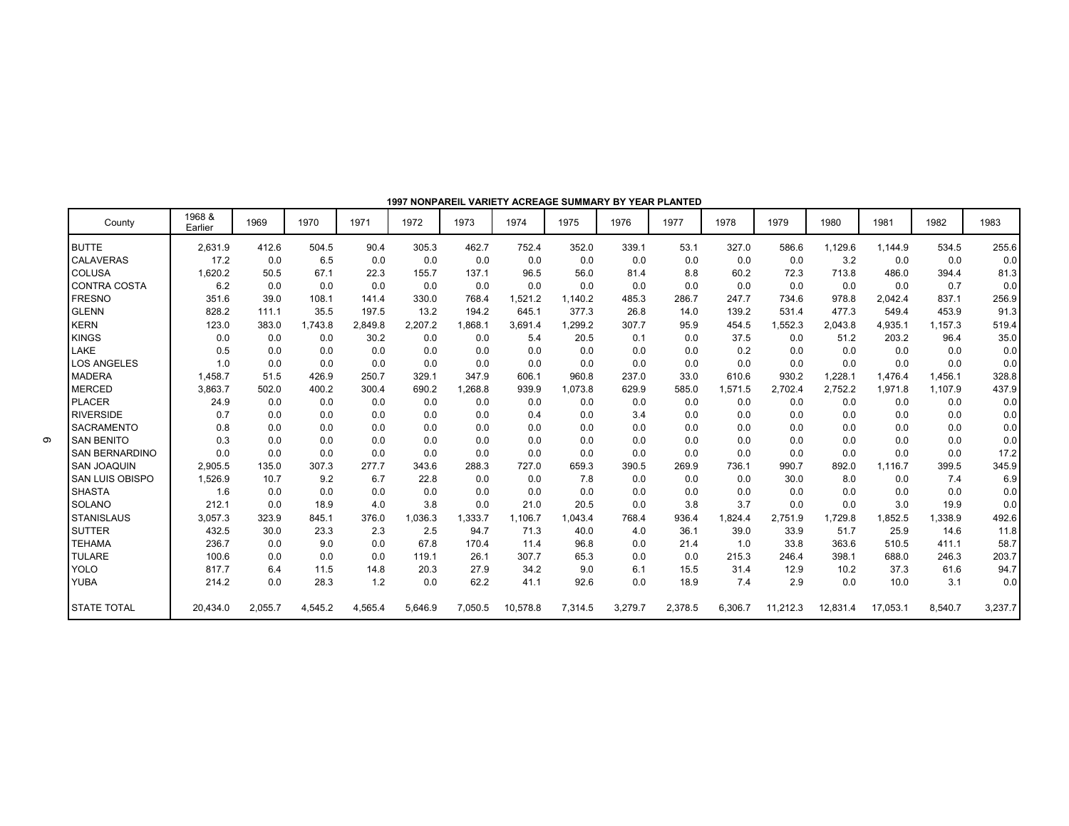| County                 | 1968 &<br>Earlier | 1969    | 1970    | 1971    | 1972    | 1973    | 1974     | 1975    | 1976    | 1977    | 1978    | 1979     | 1980     | 1981     | 1982    | 1983    |
|------------------------|-------------------|---------|---------|---------|---------|---------|----------|---------|---------|---------|---------|----------|----------|----------|---------|---------|
| <b>BUTTE</b>           | 2,631.9           | 412.6   | 504.5   | 90.4    | 305.3   | 462.7   | 752.4    | 352.0   | 339.1   | 53.1    | 327.0   | 586.6    | 1,129.6  | 1.144.9  | 534.5   | 255.6   |
| <b>CALAVERAS</b>       | 17.2              | 0.0     | 6.5     | 0.0     | 0.0     | 0.0     | 0.0      | 0.0     | 0.0     | 0.0     | 0.0     | 0.0      | 3.2      | 0.0      | 0.0     | 0.0     |
| <b>COLUSA</b>          | 1,620.2           | 50.5    | 67.1    | 22.3    | 155.7   | 137.1   | 96.5     | 56.0    | 81.4    | 8.8     | 60.2    | 72.3     | 713.8    | 486.0    | 394.4   | 81.3    |
| <b>CONTRA COSTA</b>    | 6.2               | 0.0     | 0.0     | 0.0     | 0.0     | 0.0     | 0.0      | 0.0     | 0.0     | 0.0     | 0.0     | 0.0      | 0.0      | 0.0      | 0.7     | 0.0     |
| <b>FRESNO</b>          | 351.6             | 39.0    | 108.1   | 141.4   | 330.0   | 768.4   | 1,521.2  | 1,140.2 | 485.3   | 286.7   | 247.7   | 734.6    | 978.8    | 2.042.4  | 837.1   | 256.9   |
| <b>GLENN</b>           | 828.2             | 111.1   | 35.5    | 197.5   | 13.2    | 194.2   | 645.1    | 377.3   | 26.8    | 14.0    | 139.2   | 531.4    | 477.3    | 549.4    | 453.9   | 91.3    |
| <b>KERN</b>            | 123.0             | 383.0   | 1.743.8 | 2,849.8 | 2.207.2 | 1.868.1 | 3.691.4  | 1,299.2 | 307.7   | 95.9    | 454.5   | 1.552.3  | 2.043.8  | 4.935.1  | 1.157.3 | 519.4   |
| <b>KINGS</b>           | 0.0               | 0.0     | 0.0     | 30.2    | 0.0     | 0.0     | 5.4      | 20.5    | 0.1     | 0.0     | 37.5    | 0.0      | 51.2     | 203.2    | 96.4    | 35.0    |
| LAKE                   | 0.5               | 0.0     | 0.0     | 0.0     | 0.0     | 0.0     | 0.0      | 0.0     | 0.0     | 0.0     | 0.2     | 0.0      | 0.0      | 0.0      | 0.0     | 0.0     |
| <b>LOS ANGELES</b>     | 1.0               | 0.0     | 0.0     | 0.0     | 0.0     | 0.0     | 0.0      | 0.0     | 0.0     | 0.0     | 0.0     | 0.0      | 0.0      | 0.0      | 0.0     | 0.0     |
| <b>MADERA</b>          | 1,458.7           | 51.5    | 426.9   | 250.7   | 329.1   | 347.9   | 606.1    | 960.8   | 237.0   | 33.0    | 610.6   | 930.2    | .228.1   | 1,476.4  | 1,456.1 | 328.8   |
| <b>MERCED</b>          | 3,863.7           | 502.0   | 400.2   | 300.4   | 690.2   | 1,268.8 | 939.9    | 1,073.8 | 629.9   | 585.0   | 1,571.5 | 2,702.4  | 2,752.2  | 1,971.8  | 1,107.9 | 437.9   |
| <b>PLACER</b>          | 24.9              | 0.0     | 0.0     | 0.0     | 0.0     | 0.0     | 0.0      | 0.0     | 0.0     | 0.0     | 0.0     | 0.0      | 0.0      | 0.0      | 0.0     | 0.0     |
| <b>RIVERSIDE</b>       | 0.7               | 0.0     | 0.0     | 0.0     | 0.0     | 0.0     | 0.4      | 0.0     | 3.4     | 0.0     | 0.0     | 0.0      | 0.0      | 0.0      | 0.0     | 0.0     |
| <b>SACRAMENTO</b>      | 0.8               | 0.0     | 0.0     | 0.0     | 0.0     | 0.0     | 0.0      | 0.0     | 0.0     | 0.0     | 0.0     | 0.0      | 0.0      | 0.0      | 0.0     | 0.0     |
| <b>SAN BENITO</b>      | 0.3               | 0.0     | 0.0     | 0.0     | 0.0     | 0.0     | 0.0      | 0.0     | 0.0     | 0.0     | 0.0     | 0.0      | 0.0      | 0.0      | 0.0     | 0.0     |
| <b>SAN BERNARDINO</b>  | 0.0               | 0.0     | 0.0     | 0.0     | 0.0     | 0.0     | 0.0      | 0.0     | 0.0     | 0.0     | 0.0     | 0.0      | 0.0      | 0.0      | 0.0     | 17.2    |
| <b>SAN JOAQUIN</b>     | 2,905.5           | 135.0   | 307.3   | 277.7   | 343.6   | 288.3   | 727.0    | 659.3   | 390.5   | 269.9   | 736.1   | 990.7    | 892.0    | 1.116.7  | 399.5   | 345.9   |
| <b>SAN LUIS OBISPO</b> | 1,526.9           | 10.7    | 9.2     | 6.7     | 22.8    | 0.0     | 0.0      | 7.8     | 0.0     | 0.0     | 0.0     | 30.0     | 8.0      | 0.0      | 7.4     | 6.9     |
| <b>SHASTA</b>          | 1.6               | 0.0     | 0.0     | 0.0     | 0.0     | 0.0     | 0.0      | 0.0     | 0.0     | 0.0     | 0.0     | 0.0      | 0.0      | 0.0      | 0.0     | 0.0     |
| SOLANO                 | 212.1             | 0.0     | 18.9    | 4.0     | 3.8     | 0.0     | 21.0     | 20.5    | 0.0     | 3.8     | 3.7     | 0.0      | 0.0      | 3.0      | 19.9    | 0.0     |
| <b>STANISLAUS</b>      | 3,057.3           | 323.9   | 845.1   | 376.0   | 1.036.3 | 1.333.7 | 1,106.7  | 1,043.4 | 768.4   | 936.4   | .824.4  | 2.751.9  | 1.729.8  | 1.852.5  | 1.338.9 | 492.6   |
| <b>SUTTER</b>          | 432.5             | 30.0    | 23.3    | 2.3     | 2.5     | 94.7    | 71.3     | 40.0    | 4.0     | 36.1    | 39.0    | 33.9     | 51.7     | 25.9     | 14.6    | 11.8    |
| <b>TEHAMA</b>          | 236.7             | 0.0     | 9.0     | 0.0     | 67.8    | 170.4   | 11.4     | 96.8    | 0.0     | 21.4    | 1.0     | 33.8     | 363.6    | 510.5    | 411.1   | 58.7    |
| <b>TULARE</b>          | 100.6             | 0.0     | 0.0     | 0.0     | 119.1   | 26.1    | 307.7    | 65.3    | 0.0     | 0.0     | 215.3   | 246.4    | 398.1    | 688.0    | 246.3   | 203.7   |
| <b>YOLO</b>            | 817.7             | 6.4     | 11.5    | 14.8    | 20.3    | 27.9    | 34.2     | 9.0     | 6.1     | 15.5    | 31.4    | 12.9     | 10.2     | 37.3     | 61.6    | 94.7    |
| <b>YUBA</b>            | 214.2             | 0.0     | 28.3    | 1.2     | 0.0     | 62.2    | 41.1     | 92.6    | 0.0     | 18.9    | 7.4     | 2.9      | 0.0      | 10.0     | 3.1     | 0.0     |
| <b>STATE TOTAL</b>     | 20.434.0          | 2,055.7 | 4,545.2 | 4,565.4 | 5,646.9 | 7,050.5 | 10,578.8 | 7,314.5 | 3,279.7 | 2,378.5 | 6,306.7 | 11,212.3 | 12,831.4 | 17,053.1 | 8,540.7 | 3,237.7 |

**1997 NONPAREIL VARIETY ACREAGE SUMMARY BY YEAR PLANTED**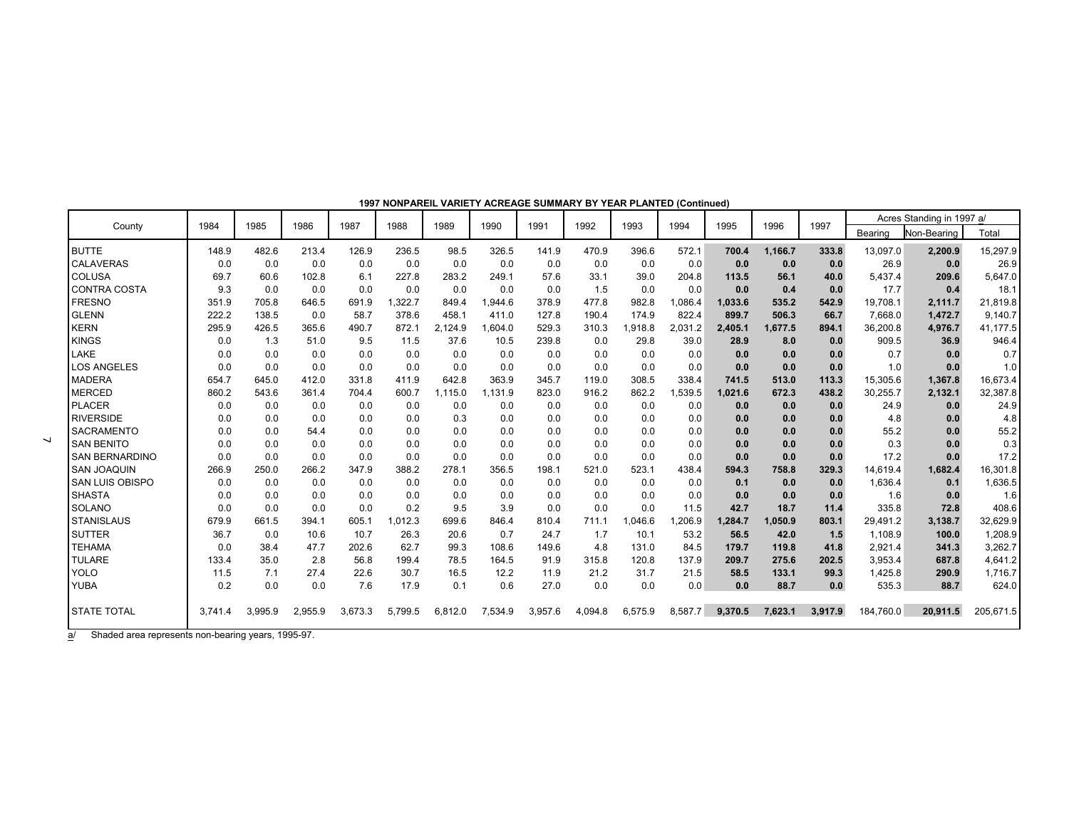|                        | 1984    | 1985    | 1986    | 1987    | 1988    | 1989    | 1990    | 1991    | 1992    | 1993    | 1994    | 1995    | 1996    | 1997    |           | Acres Standing in 1997 a/ |           |
|------------------------|---------|---------|---------|---------|---------|---------|---------|---------|---------|---------|---------|---------|---------|---------|-----------|---------------------------|-----------|
| County                 |         |         |         |         |         |         |         |         |         |         |         |         |         |         | Bearing   | Non-Bearing               | Total     |
| <b>BUTTE</b>           | 148.9   | 482.6   | 213.4   | 126.9   | 236.5   | 98.5    | 326.5   | 141.9   | 470.9   | 396.6   | 572.1   | 700.4   | 1,166.7 | 333.8   | 13,097.0  | 2,200.9                   | 15,297.9  |
| <b>CALAVERAS</b>       | 0.0     | 0.0     | 0.0     | 0.0     | 0.0     | 0.0     | 0.0     | 0.0     | 0.0     | 0.0     | 0.0     | 0.0     | 0.0     | 0.0     | 26.9      | 0.0                       | 26.9      |
| COLUSA                 | 69.7    | 60.6    | 102.8   | 6.1     | 227.8   | 283.2   | 249.1   | 57.6    | 33.1    | 39.0    | 204.8   | 113.5   | 56.1    | 40.0    | 5,437.4   | 209.6                     | 5,647.0   |
| <b>CONTRA COSTA</b>    | 9.3     | 0.0     | 0.0     | 0.0     | 0.0     | 0.0     | 0.0     | 0.0     | 1.5     | 0.0     | 0.0     | 0.0     | 0.4     | 0.0     | 17.7      | 0.4                       | 18.1      |
| <b>FRESNO</b>          | 351.9   | 705.8   | 646.5   | 691.9   | 1,322.7 | 849.4   | 1,944.6 | 378.9   | 477.8   | 982.8   | 1,086.4 | 1,033.6 | 535.2   | 542.9   | 19,708.1  | 2,111.7                   | 21,819.8  |
| <b>GLENN</b>           | 222.2   | 138.5   | 0.0     | 58.7    | 378.6   | 458.1   | 411.0   | 127.8   | 190.4   | 174.9   | 822.4   | 899.7   | 506.3   | 66.7    | 7.668.0   | 1,472.7                   | 9,140.7   |
| <b>KERN</b>            | 295.9   | 426.5   | 365.6   | 490.7   | 872.1   | 2.124.9 | 1,604.0 | 529.3   | 310.3   | 1.918.8 | 2,031.2 | 2,405.1 | 1,677.5 | 894.1   | 36,200.8  | 4,976.7                   | 41,177.5  |
| <b>KINGS</b>           | 0.0     | 1.3     | 51.0    | 9.5     | 11.5    | 37.6    | 10.5    | 239.8   | 0.0     | 29.8    | 39.0    | 28.9    | 8.0     | 0.0     | 909.5     | 36.9                      | 946.4     |
| LAKE                   | 0.0     | 0.0     | 0.0     | 0.0     | 0.0     | 0.0     | 0.0     | 0.0     | 0.0     | 0.0     | 0.0     | 0.0     | 0.0     | 0.0     | 0.7       | 0.0                       | 0.7       |
| <b>LOS ANGELES</b>     | 0.0     | 0.0     | 0.0     | 0.0     | 0.0     | 0.0     | 0.0     | 0.0     | 0.0     | 0.0     | 0.0     | 0.0     | 0.0     | 0.0     | 1.0       | 0.0                       | 1.0       |
| <b>MADERA</b>          | 654.7   | 645.0   | 412.0   | 331.8   | 411.9   | 642.8   | 363.9   | 345.7   | 119.0   | 308.5   | 338.4   | 741.5   | 513.0   | 113.3   | 15,305.6  | 1,367.8                   | 16,673.4  |
| <b>MERCED</b>          | 860.2   | 543.6   | 361.4   | 704.4   | 600.7   | 1,115.0 | 1,131.9 | 823.0   | 916.2   | 862.2   | 1,539.5 | 1,021.6 | 672.3   | 438.2   | 30,255.7  | 2,132.1                   | 32,387.8  |
| <b>PLACER</b>          | 0.0     | 0.0     | 0.0     | 0.0     | 0.0     | 0.0     | 0.0     | 0.0     | 0.0     | 0.0     | 0.0     | 0.0     | 0.0     | 0.0     | 24.9      | 0.0                       | 24.9      |
| <b>RIVERSIDE</b>       | 0.0     | 0.0     | 0.0     | 0.0     | 0.0     | 0.3     | 0.0     | 0.0     | 0.0     | 0.0     | 0.0     | 0.0     | 0.0     | 0.0     | 4.8       | 0.0                       | 4.8       |
| <b>SACRAMENTO</b>      | 0.0     | 0.0     | 54.4    | 0.0     | 0.0     | 0.0     | 0.0     | 0.0     | 0.0     | 0.0     | 0.0     | 0.0     | 0.0     | 0.0     | 55.2      | 0.0                       | 55.2      |
| <b>SAN BENITO</b>      | 0.0     | 0.0     | 0.0     | 0.0     | 0.0     | 0.0     | 0.0     | 0.0     | 0.0     | 0.0     | 0.0     | 0.0     | 0.0     | 0.0     | 0.3       | 0.0                       | 0.3       |
| <b>SAN BERNARDINO</b>  | 0.0     | 0.0     | 0.0     | 0.0     | 0.0     | 0.0     | 0.0     | 0.0     | 0.0     | 0.0     | 0.0     | 0.0     | 0.0     | 0.0     | 17.2      | 0.0                       | 17.2      |
| <b>SAN JOAQUIN</b>     | 266.9   | 250.0   | 266.2   | 347.9   | 388.2   | 278.1   | 356.5   | 198.1   | 521.0   | 523.1   | 438.4   | 594.3   | 758.8   | 329.3   | 14,619.4  | 1,682.4                   | 16,301.8  |
| <b>SAN LUIS OBISPO</b> | 0.0     | 0.0     | 0.0     | 0.0     | 0.0     | 0.0     | 0.0     | 0.0     | 0.0     | 0.0     | 0.0     | 0.1     | 0.0     | 0.0     | 1,636.4   | 0.1                       | 1,636.5   |
| <b>SHASTA</b>          | 0.0     | 0.0     | 0.0     | 0.0     | 0.0     | 0.0     | 0.0     | 0.0     | 0.0     | 0.0     | 0.0     | 0.0     | 0.0     | 0.0     | 1.6       | 0.0                       | 1.6       |
| SOLANO                 | 0.0     | 0.0     | 0.0     | 0.0     | 0.2     | 9.5     | 3.9     | 0.0     | 0.0     | 0.0     | 11.5    | 42.7    | 18.7    | 11.4    | 335.8     | 72.8                      | 408.6     |
| <b>STANISLAUS</b>      | 679.9   | 661.5   | 394.1   | 605.1   | 1,012.3 | 699.6   | 846.4   | 810.4   | 711.1   | 1.046.6 | .206.9  | 1.284.7 | 1,050.9 | 803.1   | 29,491.2  | 3,138.7                   | 32,629.9  |
| <b>SUTTER</b>          | 36.7    | 0.0     | 10.6    | 10.7    | 26.3    | 20.6    | 0.7     | 24.7    | 1.7     | 10.1    | 53.2    | 56.5    | 42.0    | 1.5     | 1,108.9   | 100.0                     | 1,208.9   |
| <b>TEHAMA</b>          | 0.0     | 38.4    | 47.7    | 202.6   | 62.7    | 99.3    | 108.6   | 149.6   | 4.8     | 131.0   | 84.5    | 179.7   | 119.8   | 41.8    | 2,921.4   | 341.3                     | 3,262.7   |
| <b>TULARE</b>          | 133.4   | 35.0    | 2.8     | 56.8    | 199.4   | 78.5    | 164.5   | 91.9    | 315.8   | 120.8   | 137.9   | 209.7   | 275.6   | 202.5   | 3,953.4   | 687.8                     | 4,641.2   |
| <b>YOLO</b>            | 11.5    | 7.1     | 27.4    | 22.6    | 30.7    | 16.5    | 12.2    | 11.9    | 21.2    | 31.7    | 21.5    | 58.5    | 133.1   | 99.3    | 1,425.8   | 290.9                     | 1,716.7   |
| <b>YUBA</b>            | 0.2     | 0.0     | 0.0     | 7.6     | 17.9    | 0.1     | 0.6     | 27.0    | 0.0     | 0.0     | 0.0     | 0.0     | 88.7    | 0.0     | 535.3     | 88.7                      | 624.0     |
| <b>STATE TOTAL</b>     | 3.741.4 | 3.995.9 | 2.955.9 | 3.673.3 | 5.799.5 | 6.812.0 | 7,534.9 | 3.957.6 | 4.094.8 | 6.575.9 | 8.587.7 | 9.370.5 | 7.623.1 | 3.917.9 | 184.760.0 | 20.911.5                  | 205.671.5 |

**1997 NONPAREIL VARIETY ACREAGE SUMMARY BY YEAR PLANTED (Continued)**

a/ Shaded area represents non-bearing years, 1995-97.

 $\overline{\phantom{a}}$